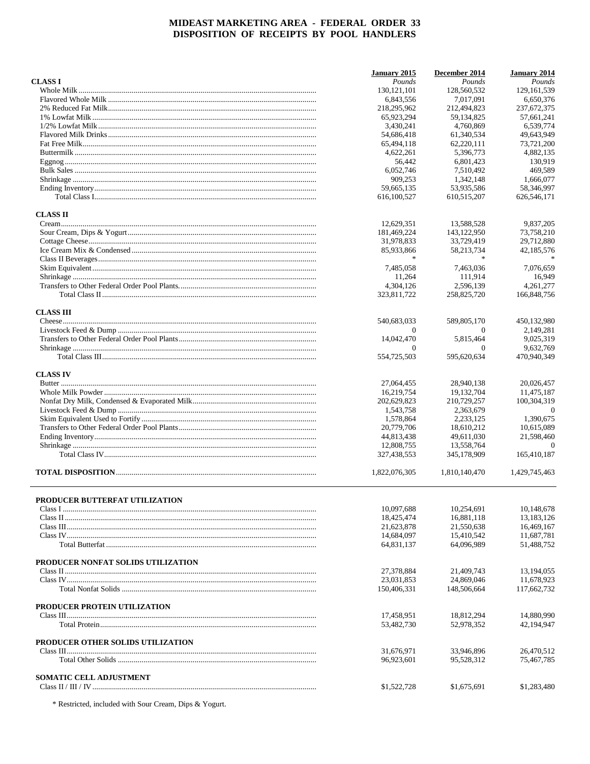|                                       | January 2015             | December 2014            | <b>January 2014</b>      |
|---------------------------------------|--------------------------|--------------------------|--------------------------|
| <b>CLASS I</b>                        | Pounds                   | Pounds                   | Pounds                   |
|                                       | 130, 121, 101            | 128,560,532              | 129, 161, 539            |
|                                       | 6,843,556                | 7.017.091                | 6,650,376                |
|                                       | 218,295,962              | 212,494,823              | 237,672,375              |
|                                       | 65,923,294               | 59,134,825               | 57,661,241               |
|                                       | 3,430,241                | 4.760.869                | 6,539,774                |
|                                       | 54,686,418               | 61,340,534               | 49,643,949               |
|                                       | 65,494,118               | 62,220,111               | 73,721,200               |
|                                       | 4,622,261                | 5,396,773                | 4,882,135                |
|                                       | 56,442                   | 6,801,423                | 130,919                  |
|                                       | 6,052,746                | 7,510,492                | 469,589                  |
|                                       | 909,253                  | 1,342,148                | 1,666,077                |
|                                       | 59,665,135               | 53,935,586               | 58,346,997               |
|                                       | 616,100,527              | 610,515,207              | 626,546,171              |
| <b>CLASS II</b>                       |                          |                          |                          |
|                                       | 12,629,351               | 13,588,528               | 9,837,205                |
|                                       | 181,469,224              | 143, 122, 950            | 73,758,210               |
|                                       | 31,978,833               | 33,729,419               | 29,712,880               |
|                                       | 85,933,866               | 58,213,734               | 42,185,576               |
|                                       | $\frac{1}{20}$           |                          |                          |
|                                       | 7,485,058                | 7.463.036                | 7,076,659                |
|                                       | 11,264                   | 111,914                  | 16,949                   |
|                                       | 4.304.126                | 2,596,139                | 4.261.277                |
|                                       |                          |                          |                          |
|                                       | 323,811,722              | 258,825,720              | 166,848,756              |
| <b>CLASS III</b>                      | 540,683,033              | 589,805,170              | 450,132,980              |
|                                       |                          |                          |                          |
|                                       | $\Omega$                 | $\Omega$                 | 2,149,281                |
|                                       | 14,042,470               | 5,815,464                | 9,025,319                |
|                                       | $\Omega$<br>554,725,503  | $\Omega$<br>595,620,634  | 9,632,769<br>470,940,349 |
|                                       |                          |                          |                          |
| <b>CLASS IV</b>                       |                          |                          |                          |
|                                       | 27,064,455               | 28,940,138               | 20,026,457               |
|                                       | 16,219,754               | 19, 132, 704             | 11,475,187               |
|                                       | 202,629,823              | 210,729,257              | 100,304,319              |
|                                       | 1,543,758                | 2,363,679                | $\overline{0}$           |
|                                       | 1,578,864                | 2,233,125                | 1,390,675                |
|                                       | 20,779,706               | 18,610,212               | 10,615,089               |
|                                       | 44,813,438               | 49,611,030               | 21,598,460               |
|                                       | 12,808,755               | 13,558,764               | $\theta$                 |
|                                       | 327,438,553              | 345,178,909              | 165,410,187              |
|                                       | 1,822,076,305            | 1,810,140,470            | 1,429,745,463            |
| <b>PRODUCER BUTTERFAT UTILIZATION</b> |                          |                          |                          |
|                                       | 10,097,688               | 10,254,691               | 10,148,678               |
|                                       | 18,425,474               | 16,881,118               | 13,183,126               |
|                                       | 21,623,878               | 21,550,638               | 16,469,167               |
|                                       |                          |                          |                          |
|                                       | 14,684,097<br>64,831,137 | 15,410,542<br>64.096.989 | 11,687,781<br>51,488,752 |
|                                       |                          |                          |                          |
| PRODUCER NONFAT SOLIDS UTILIZATION    |                          |                          |                          |
|                                       | 27,378,884               | 21,409,743               | 13,194,055               |
|                                       | 23,031,853               | 24,869,046               | 11,678,923               |
|                                       | 150,406,331              | 148,506,664              | 117,662,732              |
| PRODUCER PROTEIN UTILIZATION          |                          |                          |                          |
|                                       | 17,458,951               | 18,812,294               | 14,880,990               |
|                                       | 53,482,730               | 52,978,352               | 42,194,947               |
| PRODUCER OTHER SOLIDS UTILIZATION     |                          |                          |                          |
|                                       | 31,676,971               | 33,946,896               | 26,470,512               |
|                                       | 96,923,601               | 95,528,312               | 75,467,785               |
| <b>SOMATIC CELL ADJUSTMENT</b>        |                          |                          |                          |
|                                       | \$1,522,728              | \$1,675,691              | \$1,283,480              |

\* Restricted, included with Sour Cream, Dips & Yogurt.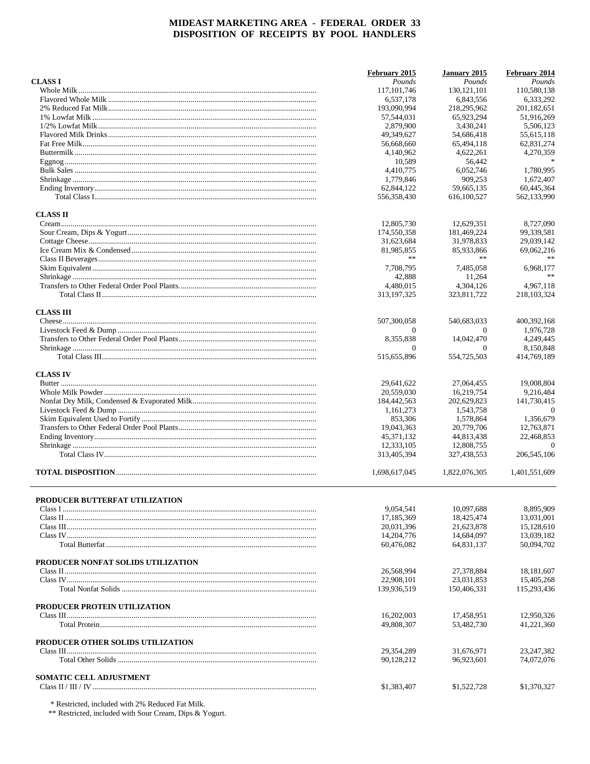|                                       | February 2015         | January 2015              | February 2014            |
|---------------------------------------|-----------------------|---------------------------|--------------------------|
| <b>CLASS I</b>                        | Pounds                | Pounds                    | Pounds                   |
|                                       | 117, 101, 746         | 130, 121, 101             | 110,580,138              |
|                                       | 6.537.178             | 6.843.556                 | 6.333.292                |
|                                       | 193,090,994           | 218,295,962               | 201,182,651              |
|                                       | 57,544,031            | 65,923,294                | 51,916,269               |
|                                       | 2,879,900             | 3,430,241                 | 5,506,123                |
|                                       | 49,349,627            | 54,686,418                | 55,615,118               |
|                                       | 56,668,660            | 65,494,118                | 62,831,274               |
|                                       | 4,140,962             | 4,622,261                 | 4,270,359                |
|                                       | 10,589                | 56,442                    | $\frac{1}{2}$            |
|                                       | 4,410,775             | 6,052,746                 | 1,780,995                |
|                                       | 1,779,846             | 909,253                   | 1,672,407                |
|                                       | 62,844,122            | 59,665,135                | 60,445,364               |
|                                       | 556,358,430           | 616,100,527               | 562,133,990              |
| <b>CLASS II</b>                       |                       |                           |                          |
|                                       | 12,805,730            | 12,629,351                | 8,727,090                |
|                                       | 174,550,358           | 181,469,224               | 99,339,581               |
|                                       | 31,623,684            | 31,978,833                | 29,039,142               |
|                                       | 81,985,855            | 85,933,866                | 69,062,216               |
|                                       | **                    | **                        |                          |
|                                       | 7,708,795             | 7,485,058                 | 6,968,177                |
|                                       | 42,888                | 11,264                    | **                       |
|                                       | 4.480.015             | 4,304,126                 | 4,967,118                |
|                                       | 313, 197, 325         | 323,811,722               | 218,103,324              |
|                                       |                       |                           |                          |
| <b>CLASS III</b>                      | 507,300,058           | 540,683,033               | 400,392,168              |
|                                       | $\Omega$              | $\Omega$                  | 1.976.728                |
|                                       | 8,355,838             | 14,042,470                | 4,249,445                |
|                                       | $\Omega$              | $\Omega$                  | 8,150,848                |
|                                       | 515,655,896           | 554,725,503               | 414,769,189              |
|                                       |                       |                           |                          |
| <b>CLASS IV</b>                       |                       |                           | 19,008,804               |
|                                       | 29,641,622            | 27,064,455                |                          |
|                                       | 20,559,030            | 16,219,754<br>202,629,823 | 9,216,484<br>141,730,415 |
|                                       | 184,442,563           |                           | $\Omega$                 |
|                                       | 1,161,273             | 1,543,758                 | 1,356,679                |
|                                       | 853,306<br>19,043,363 | 1,578,864<br>20,779,706   | 12,763,871               |
|                                       | 45, 371, 132          | 44,813,438                | 22,468,853               |
|                                       | 12,333,105            | 12,808,755                | $\Omega$                 |
|                                       | 313,405,394           | 327,438,553               | 206,545,106              |
|                                       |                       |                           |                          |
|                                       | 1,698,617,045         | 1,822,076,305             | 1,401,551,609            |
|                                       |                       |                           |                          |
| <b>PRODUCER BUTTERFAT UTILIZATION</b> | 9,054,541             | 10,097,688                | 8,895,909                |
|                                       | 17, 185, 369          | 18,425,474                | 13,031,001               |
|                                       | 20,031,396            | 21,623,878                | 15,128,610               |
|                                       | 14,204,776            | 14,684,097                | 13,039,182               |
|                                       | 60,476,082            | 64,831,137                | 50,094,702               |
|                                       |                       |                           |                          |
| PRODUCER NONFAT SOLIDS UTILIZATION    |                       |                           |                          |
|                                       | 26,568,994            | 27.378.884                | 18, 181, 607             |
|                                       | 22,908,101            | 23,031,853                | 15,405,268               |
|                                       | 139,936,519           | 150,406,331               | 115,293,436              |
| PRODUCER PROTEIN UTILIZATION          |                       |                           |                          |
|                                       | 16,202,003            | 17,458,951                | 12,950,326               |
|                                       | 49,808,307            | 53,482,730                | 41,221,360               |
| PRODUCER OTHER SOLIDS UTILIZATION     |                       |                           |                          |
|                                       | 29,354,289            | 31,676,971                | 23, 247, 382             |
|                                       | 90,128,212            | 96,923,601                | 74,072,076               |
|                                       |                       |                           |                          |
| <b>SOMATIC CELL ADJUSTMENT</b>        |                       |                           |                          |
|                                       | \$1,383,407           | \$1,522,728               | \$1,370,327              |

 $\begin{array}{l} \text{*} \text{Restricted, included with 2\% \textit{Reduced Fat} \textit{Milk.} \\ \text{*** \textit{Restricted, included with} } \text{Your Cream, Dips & Yogurt.} \end{array}$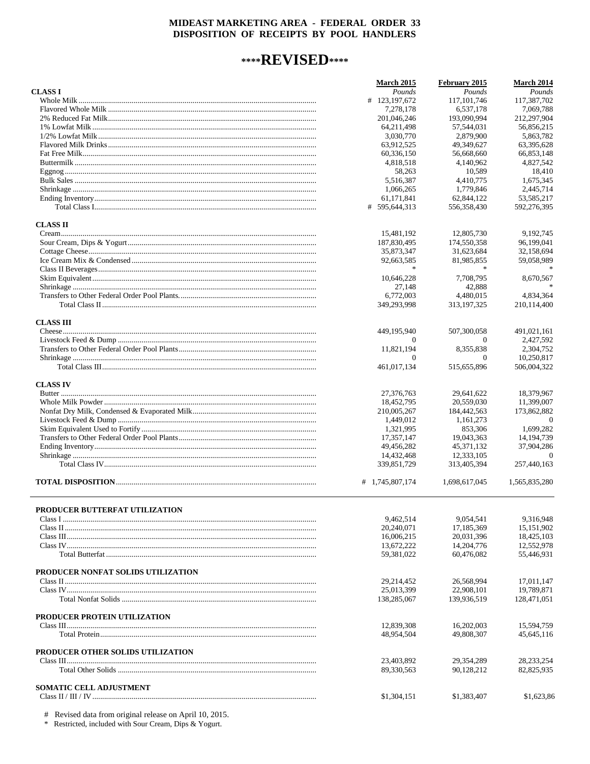# \*\*\*\*REVISED\*\*\*\*

|                                    | <b>March 2015</b> | February 2015 | <b>March 2014</b> |
|------------------------------------|-------------------|---------------|-------------------|
| <b>CLASS I</b>                     | Pounds            | Pounds        | Pounds            |
|                                    | # 123,197,672     | 117, 101, 746 | 117,387,702       |
|                                    | 7.278.178         | 6,537,178     | 7,069,788         |
|                                    | 201,046,246       | 193,090,994   | 212,297,904       |
|                                    | 64,211,498        | 57,544,031    | 56,856,215        |
|                                    | 3,030,770         | 2,879,900     | 5.863.782         |
|                                    | 63,912,525        | 49,349,627    | 63,395,628        |
|                                    | 60,336,150        | 56,668,660    | 66,853,148        |
|                                    | 4,818,518         | 4,140,962     | 4,827,542         |
|                                    | 58,263            | 10,589        | 18,410            |
|                                    | 5.516.387         | 4,410,775     | 1,675,345         |
|                                    | 1,066,265         | 1,779,846     | 2,445,714         |
|                                    | 61.171.841        | 62,844,122    | 53,585,217        |
|                                    | # 595,644,313     | 556,358,430   | 592,276,395       |
| <b>CLASS II</b>                    |                   |               |                   |
|                                    | 15,481,192        | 12,805,730    | 9,192,745         |
|                                    | 187,830,495       | 174,550,358   | 96,199,041        |
|                                    | 35,873,347        | 31,623,684    | 32,158,694        |
|                                    | 92,663,585        | 81,985,855    | 59,058,989        |
|                                    |                   |               |                   |
|                                    | 10,646,228        | 7,708,795     | 8,670,567         |
|                                    | 27.148            | 42,888        | $\mathcal{H}$     |
|                                    | 6,772,003         | 4,480,015     | 4,834,364         |
|                                    | 349,293,998       | 313,197,325   | 210,114,400       |
| <b>CLASS III</b>                   |                   |               |                   |
|                                    | 449,195,940       | 507,300,058   | 491,021,161       |
|                                    |                   | $\Omega$      | 2,427,592         |
|                                    | 11,821,194        | 8,355,838     | 2,304,752         |
|                                    | $\Omega$          | $\Omega$      | 10,250,817        |
|                                    | 461,017,134       | 515,655,896   | 506,004,322       |
|                                    |                   |               |                   |
| <b>CLASS IV</b>                    |                   |               |                   |
|                                    | 27,376,763        | 29,641,622    | 18,379,967        |
|                                    | 18,452,795        | 20,559,030    | 11,399,007        |
|                                    | 210,005,267       | 184,442,563   | 173,862,882       |
|                                    | 1,449,012         | 1,161,273     | $\Omega$          |
|                                    | 1,321,995         | 853,306       | 1,699,282         |
|                                    | 17,357,147        | 19,043,363    | 14, 194, 739      |
|                                    | 49,456,282        | 45,371,132    | 37,904,286        |
|                                    | 14,432,468        | 12,333,105    | $\theta$          |
|                                    | 339,851,729       | 313,405,394   | 257,440,163       |
|                                    | # 1,745,807,174   | 1,698,617,045 | 1,565,835,280     |
|                                    |                   |               |                   |
| PRODUCER BUTTERFAT UTILIZATION     | 9,462,514         | 9,054,541     | 9,316,948         |
|                                    | 20,240,071        | 17,185,369    | 15,151,902        |
|                                    | 16,006,215        | 20,031,396    | 18,425,103        |
|                                    | 13,672,222        | 14,204,776    | 12,552,978        |
|                                    | 59,381,022        | 60,476,082    | 55,446,931        |
|                                    |                   |               |                   |
| PRODUCER NONFAT SOLIDS UTILIZATION |                   |               |                   |
|                                    | 29,214,452        | 26.568.994    | 17,011,147        |
|                                    | 25,013,399        | 22,908,101    | 19,789,871        |
|                                    | 138,285,067       | 139,936,519   | 128,471,051       |
| PRODUCER PROTEIN UTILIZATION       |                   |               |                   |
|                                    | 12,839,308        | 16,202,003    | 15,594,759        |
|                                    | 48,954,504        | 49,808,307    | 45,645,116        |
| PRODUCER OTHER SOLIDS UTILIZATION  |                   |               |                   |
|                                    | 23,403,892        | 29,354,289    | 28, 233, 254      |
|                                    | 89,330,563        | 90,128,212    | 82,825,935        |
| <b>SOMATIC CELL ADJUSTMENT</b>     |                   |               |                   |
|                                    | \$1,304,151       | \$1,383,407   | \$1,623,86        |
|                                    |                   |               |                   |

# Revised data from original release on April 10, 2015.<br>\* Restricted, included with Sour Cream, Dips & Yogurt.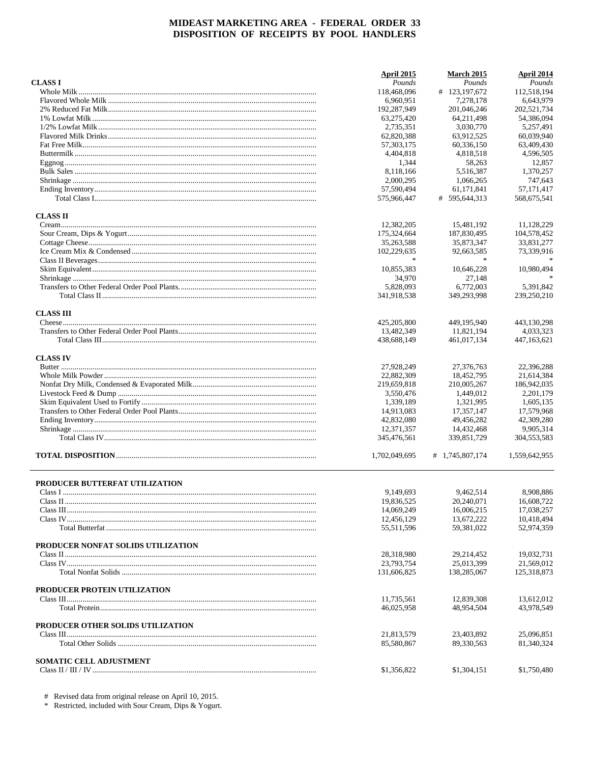|                                    | April 2015    | <b>March 2015</b> | April 2014    |
|------------------------------------|---------------|-------------------|---------------|
| <b>CLASS I</b>                     | Pounds        | Pounds            | Pounds        |
|                                    | 118,468,096   | # 123,197,672     | 112,518,194   |
|                                    | 6,960,951     | 7,278,178         | 6,643,979     |
|                                    | 192,287,949   | 201,046,246       | 202,521,734   |
|                                    | 63,275,420    | 64,211,498        | 54,386,094    |
|                                    | 2,735,351     | 3,030,770         | 5,257,491     |
|                                    | 62,820,388    | 63,912,525        | 60,039,940    |
|                                    | 57,303,175    | 60,336,150        | 63,409,430    |
|                                    | 4,404,818     | 4,818,518         | 4,596,505     |
|                                    | 1,344         | 58,263            | 12,857        |
|                                    | 8,118,166     | 5,516,387         | 1,370,257     |
|                                    | 2,000,295     | 1,066,265         | 747,643       |
|                                    | 57,590,494    | 61,171,841        | 57, 171, 417  |
|                                    | 575,966,447   | # 595,644,313     | 568,675,541   |
| <b>CLASS II</b>                    |               |                   |               |
|                                    | 12,382,205    | 15,481,192        | 11,128,229    |
|                                    | 175,324,664   | 187,830,495       | 104,578,452   |
|                                    | 35,263,588    | 35,873,347        | 33,831,277    |
|                                    | 102,229,635   | 92,663,585        | 73,339,916    |
|                                    |               |                   |               |
|                                    | 10,855,383    | 10,646,228        | 10,980,494    |
|                                    | 34,970        | 27,148            |               |
|                                    | 5,828,093     | 6.772.003         | 5,391,842     |
|                                    | 341,918,538   | 349.293.998       | 239,250,210   |
| <b>CLASS III</b>                   |               |                   |               |
|                                    | 425,205,800   | 449,195,940       | 443,130,298   |
|                                    | 13,482,349    | 11,821,194        | 4,033,323     |
|                                    | 438,688,149   | 461,017,134       | 447,163,621   |
| <b>CLASS IV</b>                    |               |                   |               |
|                                    | 27,928,249    | 27,376,763        | 22,396,288    |
|                                    | 22,882,309    | 18,452,795        | 21,614,384    |
|                                    | 219,659,818   | 210,005,267       | 186,942,035   |
|                                    | 3,550,476     | 1,449,012         | 2,201,179     |
|                                    | 1,339,189     | 1,321,995         | 1,605,135     |
|                                    | 14,913,083    | 17,357,147        | 17,579,968    |
|                                    | 42,832,080    | 49,456,282        | 42,309,280    |
|                                    | 12,371,357    | 14,432,468        | 9,905,314     |
|                                    | 345,476,561   | 339,851,729       | 304,553,583   |
|                                    | 1,702,049,695 | # 1,745,807,174   | 1,559,642,955 |
| PRODUCER BUTTERFAT UTILIZATION     |               |                   |               |
|                                    | 9,149,693     | 9,462,514         | 8,908,886     |
|                                    | 19,836,525    | 20,240,071        | 16,608,722    |
|                                    | 14,069,249    | 16,006,215        | 17,038,257    |
|                                    | 12,456,129    | 13,672,222        | 10,418,494    |
|                                    | 55,511,596    | 59,381,022        | 52,974,359    |
| PRODUCER NONFAT SOLIDS UTILIZATION |               |                   |               |
|                                    | 28,318,980    | 29,214,452        | 19,032,731    |
|                                    | 23,793,754    | 25,013,399        | 21,569,012    |
|                                    | 131,606,825   | 138,285,067       | 125,318,873   |
| PRODUCER PROTEIN UTILIZATION       |               |                   |               |
|                                    | 11,735,561    | 12,839,308        | 13,612,012    |
|                                    | 46,025,958    | 48,954,504        | 43,978,549    |
| PRODUCER OTHER SOLIDS UTILIZATION  |               |                   |               |
|                                    | 21,813,579    | 23,403,892        | 25,096,851    |
|                                    | 85,580,867    | 89,330,563        | 81,340,324    |
| SOMATIC CELL ADJUSTMENT            |               |                   |               |
|                                    | \$1,356,822   | \$1,304,151       | \$1,750,480   |

# Revised data from original release on April 10, 2015.<br>\* Restricted, included with Sour Cream, Dips & Yogurt.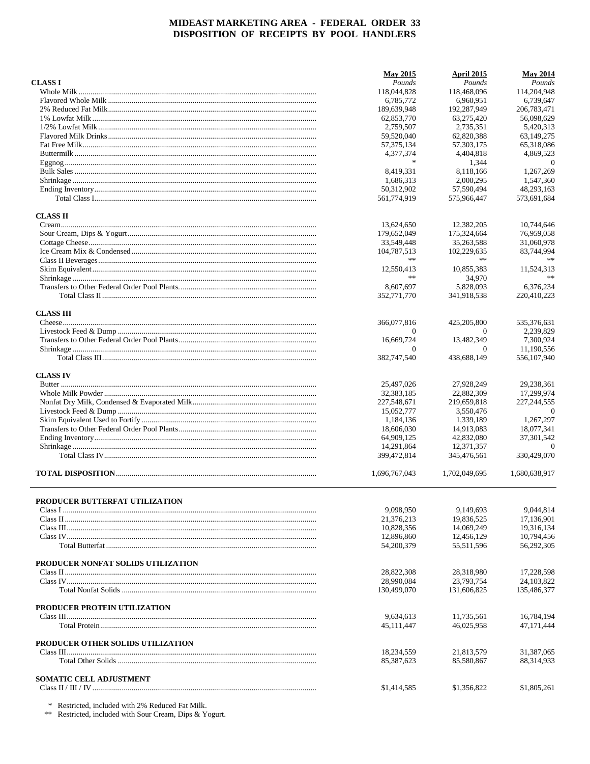|                                    | <b>May 2015</b>  | <b>April 2015</b> | <b>May 2014</b> |
|------------------------------------|------------------|-------------------|-----------------|
| <b>CLASS I</b>                     | Pounds           | Pounds            | Pounds          |
|                                    | 118,044,828      | 118,468,096       | 114,204,948     |
|                                    | 6,785,772        | 6,960,951         | 6,739,647       |
|                                    | 189,639,948      | 192,287,949       | 206,783,471     |
|                                    | 62,853,770       | 63,275,420        | 56,098,629      |
|                                    | 2,759,507        | 2,735,351         | 5,420,313       |
|                                    | 59,520,040       | 62,820,388        | 63,149,275      |
|                                    | 57, 375, 134     | 57, 303, 175      | 65,318,086      |
|                                    | 4,377,374        | 4,404,818         | 4,869,523       |
|                                    | $\ast$           | 1,344             | $\theta$        |
|                                    | 8,419,331        | 8,118,166         | 1,267,269       |
|                                    | 1,686,313        | 2,000,295         | 1,547,360       |
|                                    | 50,312,902       | 57,590,494        | 48,293,163      |
|                                    | 561,774,919      | 575,966,447       | 573,691,684     |
| <b>CLASS II</b>                    |                  |                   |                 |
|                                    | 13,624,650       | 12,382,205        | 10,744,646      |
|                                    | 179,652,049      | 175,324,664       | 76,959,058      |
|                                    | 33,549,448       | 35,263,588        | 31,060,978      |
|                                    | 104,787,513      | 102,229,635       | 83,744,994      |
|                                    | **               | **                |                 |
|                                    |                  |                   |                 |
|                                    | 12,550,413<br>** | 10,855,383        | 11,524,313      |
|                                    |                  | 34,970            |                 |
|                                    | 8.607.697        | 5,828,093         | 6,376,234       |
|                                    | 352,771,770      | 341,918,538       | 220,410,223     |
| <b>CLASS III</b>                   |                  |                   |                 |
|                                    | 366,077,816      | 425,205,800       | 535,376,631     |
|                                    | $\Omega$         | $\theta$          | 2,239,829       |
|                                    | 16,669,724       | 13.482.349        | 7,300,924       |
|                                    | $\Omega$         | $\theta$          | 11,190,556      |
|                                    | 382,747,540      | 438,688,149       | 556,107,940     |
| <b>CLASS IV</b>                    |                  |                   |                 |
|                                    | 25,497,026       | 27,928,249        | 29,238,361      |
|                                    | 32, 383, 185     | 22,882,309        | 17,299,974      |
|                                    | 227,548,671      | 219,659,818       | 227, 244, 555   |
|                                    | 15,052,777       | 3,550,476         | $\overline{0}$  |
|                                    | 1,184,136        | 1,339,189         | 1,267,297       |
|                                    | 18,606,030       | 14,913,083        | 18,077,341      |
|                                    | 64,909,125       | 42,832,080        | 37, 301, 542    |
|                                    |                  |                   | $\theta$        |
|                                    | 14,291,864       | 12,371,357        |                 |
|                                    | 399,472,814      | 345,476,561       | 330,429,070     |
|                                    | 1,696,767,043    | 1,702,049,695     | 1,680,638,917   |
|                                    |                  |                   |                 |
| PRODUCER BUTTERFAT UTILIZATION     |                  |                   |                 |
|                                    | 9,098,950        | 9,149,693         | 9,044,814       |
|                                    | 21,376,213       | 19,836,525        | 17,136,901      |
|                                    | 10,828,356       | 14,069,249        | 19,316,134      |
|                                    | 12,896,860       | 12,456,129        | 10,794,456      |
|                                    | 54,200,379       | 55,511,596        | 56,292,305      |
| PRODUCER NONFAT SOLIDS UTILIZATION |                  |                   |                 |
|                                    | 28,822,308       | 28,318,980        | 17,228,598      |
|                                    | 28,990,084       | 23,793,754        | 24, 103, 822    |
|                                    | 130,499,070      | 131,606,825       | 135,486,377     |
| PRODUCER PROTEIN UTILIZATION       |                  |                   |                 |
|                                    | 9,634,613        | 11,735,561        | 16,784,194      |
|                                    | 45, 111, 447     | 46,025,958        | 47,171,444      |
|                                    |                  |                   |                 |
| PRODUCER OTHER SOLIDS UTILIZATION  |                  |                   |                 |
|                                    | 18,234,559       | 21,813,579        | 31,387,065      |
|                                    | 85,387,623       | 85,580,867        | 88, 314, 933    |
| <b>SOMATIC CELL ADJUSTMENT</b>     |                  |                   |                 |
|                                    | \$1,414,585      | \$1,356,822       | \$1,805,261     |
|                                    |                  |                   |                 |

 $\,^*$  Restricted, included with 2% Reduced Fat Milk.<br>  $\,^*$  Restricted, included with Sour Cream, Dips & Yogurt.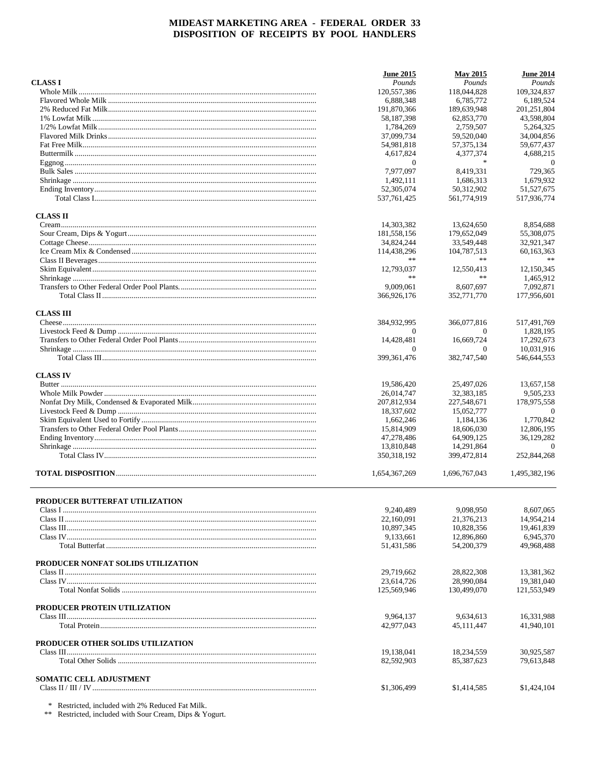|                                    | <b>June 2015</b> | <b>May 2015</b> | <b>June 2014</b> |
|------------------------------------|------------------|-----------------|------------------|
| <b>CLASS I</b>                     | Pounds           | Pounds          | Pounds           |
|                                    | 120,557,386      | 118,044,828     | 109,324,837      |
|                                    | 6,888,348        | 6.785.772       | 6,189,524        |
|                                    | 191,870,366      | 189,639,948     | 201, 251, 804    |
|                                    | 58,187,398       | 62,853,770      | 43,598,804       |
|                                    | 1,784,269        | 2.759.507       | 5.264.325        |
|                                    | 37,099,734       | 59,520,040      | 34,004,856       |
|                                    | 54,981,818       | 57, 375, 134    | 59,677,437       |
|                                    | 4,617,824        | 4,377,374       | 4,688,215        |
|                                    | $\overline{0}$   | $\ast$          | $\overline{0}$   |
|                                    | 7,977,097        | 8,419,331       | 729,365          |
|                                    | 1,492,111        | 1.686.313       | 1,679,932        |
|                                    | 52,305,074       | 50,312,902      | 51,527,675       |
|                                    | 537, 761, 425    | 561,774,919     | 517,936,774      |
| <b>CLASS II</b>                    |                  |                 |                  |
|                                    | 14,303,382       | 13,624,650      | 8,854,688        |
|                                    | 181,558,156      | 179,652,049     | 55,308,075       |
|                                    | 34,824,244       | 33,549,448      | 32,921,347       |
|                                    | 114,438,296      | 104,787,513     | 60,163,363       |
|                                    | **               | **              | $**$             |
|                                    | 12,793,037       | 12,550,413      | 12,150,345       |
|                                    | **               | **              | 1,465,912        |
|                                    | 9,009,061        | 8,607,697       | 7.092.871        |
|                                    | 366,926,176      | 352,771,770     | 177,956,601      |
|                                    |                  |                 |                  |
| <b>CLASS III</b>                   |                  |                 |                  |
|                                    | 384,932,995      | 366,077,816     | 517,491,769      |
|                                    | 0                | $\theta$        | 1,828,195        |
|                                    | 14.428.481       | 16,669,724      | 17,292,673       |
|                                    | $\Omega$         | $\theta$        | 10,031,916       |
|                                    | 399, 361, 476    | 382,747,540     | 546,644,553      |
| <b>CLASS IV</b>                    |                  |                 |                  |
|                                    | 19,586,420       | 25,497,026      | 13,657,158       |
|                                    | 26,014,747       | 32,383,185      | 9,505,233        |
|                                    | 207,812,934      | 227,548,671     | 178,975,558      |
|                                    | 18,337,602       | 15,052,777      | $\overline{0}$   |
|                                    | 1,662,246        | 1,184,136       | 1,770,842        |
|                                    | 15,814,909       | 18,606,030      | 12,806,195       |
|                                    | 47,278,486       | 64,909,125      | 36,129,282       |
|                                    | 13,810,848       | 14,291,864      | $\Omega$         |
|                                    | 350,318,192      | 399,472,814     | 252,844,268      |
|                                    | 1,654,367,269    | 1,696,767,043   | 1,495,382,196    |
|                                    |                  |                 |                  |
| PRODUCER BUTTERFAT UTILIZATION     |                  |                 |                  |
|                                    | 9,240,489        | 9,098,950       | 8,607,065        |
|                                    | 22,160,091       | 21,376,213      | 14,954,214       |
|                                    | 10,897,345       | 10,828,356      | 19,461,839       |
|                                    | 9,133,661        | 12,896,860      | 6,945,370        |
|                                    | 51,431,586       | 54,200,379      | 49,968,488       |
| PRODUCER NONFAT SOLIDS UTILIZATION |                  |                 |                  |
|                                    | 29,719,662       | 28,822,308      | 13,381,362       |
|                                    | 23,614,726       | 28,990,084      | 19,381,040       |
|                                    | 125,569,946      | 130,499,070     | 121,553,949      |
|                                    |                  |                 |                  |
| PRODUCER PROTEIN UTILIZATION       | 9,964,137        | 9.634.613       | 16,331,988       |
|                                    | 42,977,043       | 45,111,447      | 41,940,101       |
|                                    |                  |                 |                  |
| PRODUCER OTHER SOLIDS UTILIZATION  | 19,138,041       | 18,234,559      | 30,925,587       |
|                                    | 82,592,903       | 85,387,623      | 79,613,848       |
|                                    |                  |                 |                  |
| <b>SOMATIC CELL ADJUSTMENT</b>     |                  |                 |                  |
|                                    | \$1,306,499      | \$1,414,585     | \$1,424,104      |
|                                    |                  |                 |                  |

 $\,^*$  Restricted, included with 2% Reduced Fat Milk.<br>  $\,^*$  Restricted, included with Sour Cream, Dips & Yogurt.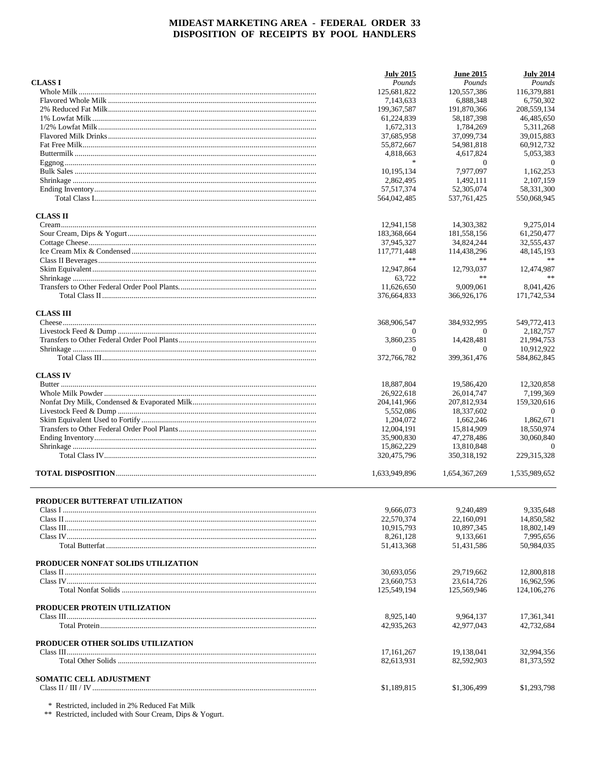|                                    | <b>July 2015</b> | <b>June 2015</b>       | <b>July 2014</b> |
|------------------------------------|------------------|------------------------|------------------|
| <b>CLASS I</b>                     | Pounds           | Pounds                 | Pounds           |
|                                    | 125,681,822      | 120,557,386            | 116,379,881      |
|                                    | 7,143,633        | 6,888,348              | 6.750.302        |
|                                    | 199, 367, 587    | 191,870,366            | 208,559,134      |
|                                    | 61,224,839       | 58.187.398             | 46,485,650       |
|                                    | 1,672,313        | 1,784,269              | 5,311,268        |
|                                    | 37,685,958       | 37,099,734             | 39,015,883       |
|                                    | 55,872,667       | 54,981,818             | 60,912,732       |
|                                    | 4,818,663        | 4,617,824              | 5,053,383        |
|                                    | $\frac{1}{2}$    | $\theta$               | $\theta$         |
|                                    | 10,195,134       | 7,977,097              | 1.162.253        |
|                                    | 2,862,495        | 1,492,111              | 2,107,159        |
|                                    | 57, 517, 374     | 52,305,074             | 58,331,300       |
|                                    | 564,042,485      | 537, 761, 425          | 550,068,945      |
| <b>CLASS II</b>                    |                  |                        |                  |
|                                    | 12,941,158       | 14,303,382             | 9,275,014        |
|                                    | 183,368,664      | 181,558,156            | 61,250,477       |
|                                    | 37,945,327       | 34,824,244             | 32,555,437       |
|                                    | 117,771,448      | 114,438,296            | 48, 145, 193     |
|                                    | **               | **                     |                  |
|                                    | 12,947,864       | 12,793,037             | 12,474,987       |
|                                    | 63,722           | **                     | **               |
|                                    | 11,626,650       | 9,009,061              | 8,041,426        |
|                                    | 376,664,833      | 366,926,176            | 171,742,534      |
|                                    |                  |                        |                  |
| <b>CLASS III</b>                   |                  |                        |                  |
|                                    | 368,906,547      | 384,932,995            | 549,772,413      |
|                                    | $\Omega$         | $\Omega$<br>14.428.481 | 2,182,757        |
|                                    | 3,860,235        |                        | 21,994,753       |
|                                    | $\Omega$         | $\theta$               | 10,912,922       |
|                                    | 372,766,782      | 399, 361, 476          | 584,862,845      |
| <b>CLASS IV</b>                    |                  |                        |                  |
|                                    | 18,887,804       | 19,586,420             | 12,320,858       |
|                                    | 26,922,618       | 26,014,747             | 7,199,369        |
|                                    | 204, 141, 966    | 207,812,934            | 159,320,616      |
|                                    | 5,552,086        | 18,337,602             | $\overline{0}$   |
|                                    | 1,204,072        | 1,662,246              | 1,862,671        |
|                                    | 12,004,191       | 15,814,909             | 18,550,974       |
|                                    | 35,900,830       | 47,278,486             | 30,060,840       |
|                                    | 15,862,229       | 13,810,848             | $\Omega$         |
|                                    | 320, 475, 796    | 350, 318, 192          | 229, 315, 328    |
|                                    | 1,633,949,896    | 1,654,367,269          | 1,535,989,652    |
|                                    |                  |                        |                  |
| PRODUCER BUTTERFAT UTILIZATION     |                  |                        |                  |
|                                    | 9,666,073        | 9,240,489              | 9,335,648        |
|                                    | 22,570,374       | 22,160,091             | 14,850,582       |
|                                    | 10,915,793       | 10,897,345             | 18,802,149       |
|                                    | 8,261,128        | 9,133,661              | 7,995,656        |
|                                    | 51,413,368       | 51,431,586             | 50,984,035       |
| PRODUCER NONFAT SOLIDS UTILIZATION |                  |                        |                  |
|                                    | 30,693,056       | 29,719,662             | 12,800,818       |
|                                    | 23,660,753       | 23,614,726             | 16,962,596       |
|                                    |                  | 125,569,946            | 124, 106, 276    |
|                                    | 125,549,194      |                        |                  |
| PRODUCER PROTEIN UTILIZATION       |                  |                        |                  |
|                                    | 8,925,140        | 9,964,137              | 17,361,341       |
|                                    | 42,935,263       | 42,977,043             | 42,732,684       |
| PRODUCER OTHER SOLIDS UTILIZATION  |                  |                        |                  |
|                                    | 17, 161, 267     | 19,138,041             | 32,994,356       |
|                                    | 82,613,931       | 82,592,903             | 81,373,592       |
| <b>SOMATIC CELL ADJUSTMENT</b>     |                  |                        |                  |
|                                    | \$1,189,815      | \$1,306,499            | \$1,293,798      |
|                                    |                  |                        |                  |

 $\,^*$  Restricted, included in 2% Reduced Fat Milk  $\,^*$  Restricted, included with Sour Cream, Dips & Yogurt.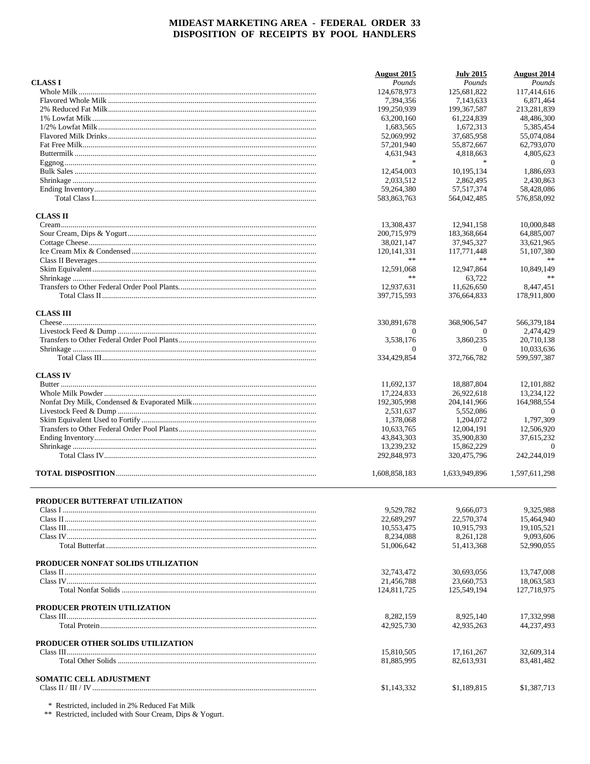|                                    | <b>August</b> 2015 | <b>July 2015</b> | <b>August 2014</b> |
|------------------------------------|--------------------|------------------|--------------------|
| <b>CLASS I</b>                     | Pounds             | Pounds           | Pounds             |
|                                    | 124,678,973        | 125,681,822      | 117,414,616        |
|                                    | 7,394,356          | 7.143.633        | 6.871.464          |
|                                    | 199,250,939        | 199, 367, 587    | 213,281,839        |
|                                    | 63,200,160         | 61.224.839       | 48,486,300         |
|                                    | 1,683,565          | 1,672,313        | 5,385,454          |
|                                    | 52,069,992         | 37,685,958       | 55.074.084         |
|                                    | 57,201,940         | 55,872,667       | 62,793,070         |
|                                    | 4,631,943          | 4,818,663        | 4,805,623          |
|                                    | $\ast$             | $\ast$           | $\theta$           |
|                                    | 12,454,003         | 10,195,134       | 1,886,693          |
|                                    | 2,033,512          | 2,862,495        | 2,430,863          |
|                                    | 59,264,380         | 57, 517, 374     | 58,428,086         |
|                                    | 583,863,763        | 564,042,485      | 576,858,092        |
| <b>CLASS II</b>                    |                    |                  |                    |
|                                    | 13,308,437         | 12,941,158       | 10,000,848         |
|                                    | 200,715,979        | 183,368,664      | 64,885,007         |
|                                    | 38,021,147         | 37,945,327       | 33,621,965         |
|                                    | 120, 141, 331      | 117,771,448      | 51,107,380         |
|                                    | **                 | **               | **                 |
|                                    | 12,591,068         | 12,947,864       | 10,849,149         |
|                                    | **                 | 63,722           | **                 |
|                                    | 12,937,631         | 11,626,650       | 8.447.451          |
|                                    | 397,715,593        | 376,664,833      | 178,911,800        |
|                                    |                    |                  |                    |
| <b>CLASS III</b>                   |                    |                  |                    |
|                                    | 330,891,678        | 368,906,547      | 566,379,184        |
|                                    | $\Omega$           | 0                | 2,474,429          |
|                                    | 3,538,176          | 3,860,235        | 20,710,138         |
|                                    | $\Omega$           | $\overline{0}$   | 10,033,636         |
|                                    | 334,429,854        | 372,766,782      | 599,597,387        |
| <b>CLASS IV</b>                    |                    |                  |                    |
|                                    | 11,692,137         | 18,887,804       | 12, 101, 882       |
|                                    | 17,224,833         | 26,922,618       | 13,234,122         |
|                                    | 192,305,998        | 204, 141, 966    | 164,988,554        |
|                                    | 2,531,637          | 5,552,086        | $\Omega$           |
|                                    | 1,378,068          | 1,204,072        | 1,797,309          |
|                                    | 10,633,765         | 12,004,191       | 12,506,920         |
|                                    | 43,843,303         | 35,900,830       | 37,615,232         |
|                                    | 13,239,232         | 15,862,229       | $\Omega$           |
|                                    | 292,848,973        | 320,475,796      | 242,244,019        |
|                                    | 1,608,858,183      | 1,633,949,896    | 1,597,611,298      |
|                                    |                    |                  |                    |
| PRODUCER BUTTERFAT UTILIZATION     |                    |                  |                    |
|                                    | 9,529,782          | 9,666,073        | 9,325,988          |
|                                    | 22,689,297         | 22,570,374       | 15,464,940         |
|                                    | 10,553,475         | 10.915.793       | 19, 105, 521       |
|                                    | 8,234,088          | 8,261,128        | 9,093,606          |
|                                    | 51,006,642         | 51,413,368       | 52,990,055         |
|                                    |                    |                  |                    |
| PRODUCER NONFAT SOLIDS UTILIZATION |                    |                  |                    |
|                                    | 32,743,472         | 30,693,056       | 13,747,008         |
|                                    | 21,456,788         | 23,660,753       | 18,063,583         |
|                                    | 124,811,725        | 125,549,194      | 127,718,975        |
| PRODUCER PROTEIN UTILIZATION       |                    |                  |                    |
|                                    | 8,282,159          | 8,925,140        | 17,332,998         |
|                                    | 42,925,730         | 42,935,263       | 44,237,493         |
|                                    |                    |                  |                    |
| PRODUCER OTHER SOLIDS UTILIZATION  |                    |                  |                    |
|                                    | 15,810,505         | 17, 161, 267     | 32,609,314         |
|                                    | 81,885,995         | 82,613,931       | 83,481,482         |
| <b>SOMATIC CELL ADJUSTMENT</b>     |                    |                  |                    |
|                                    | \$1,143,332        | \$1,189,815      | \$1,387,713        |
|                                    |                    |                  |                    |

 $\,^*$  Restricted, included in 2% Reduced Fat Milk  $\,^*$  Restricted, included with Sour Cream, Dips & Yogurt.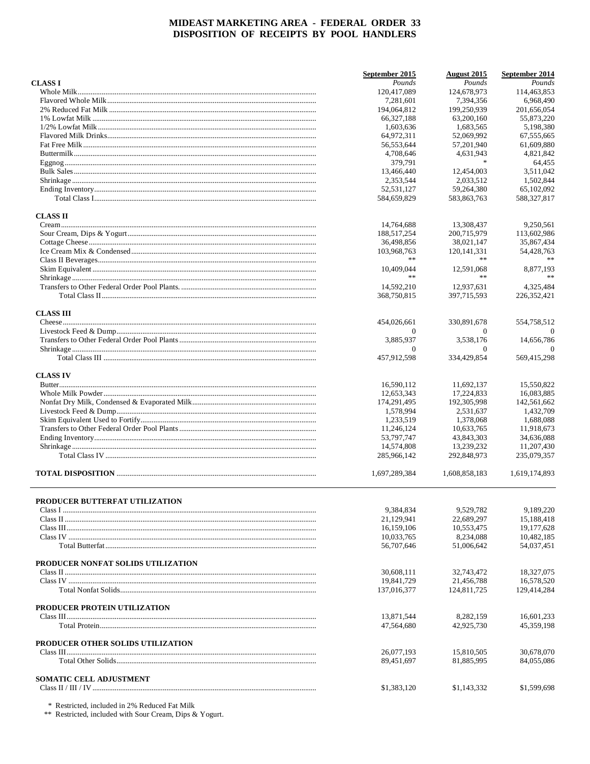|                                    | September 2015           | August 2015              | September 2014           |
|------------------------------------|--------------------------|--------------------------|--------------------------|
| <b>CLASS I</b>                     | Pounds                   | Pounds                   | Pounds                   |
|                                    | 120,417,089              | 124,678,973              | 114,463,853              |
|                                    | 7,281,601                | 7,394,356                | 6,968,490                |
|                                    | 194,064,812              | 199,250,939              | 201,656,054              |
|                                    | 66,327,188               | 63,200,160               | 55,873,220               |
|                                    | 1,603,636                | 1,683,565                | 5,198,380                |
|                                    | 64,972,311               | 52.069.992               | 67,555,665               |
|                                    | 56,553,644               | 57,201,940               | 61,609,880               |
|                                    | 4,708,646                | 4,631,943<br>$\ast$      | 4,821,842                |
|                                    | 379,791                  |                          | 64,455                   |
|                                    | 13,466,440               | 12,454,003               | 3,511,042                |
|                                    | 2,353,544                | 2,033,512                | 1,502,844                |
|                                    | 52,531,127               | 59,264,380               | 65,102,092               |
|                                    | 584,659,829              | 583,863,763              | 588,327,817              |
| <b>CLASS II</b>                    |                          |                          |                          |
|                                    | 14,764,688               | 13,308,437               | 9,250,561                |
|                                    | 188,517,254              | 200,715,979              | 113,602,986              |
|                                    | 36,498,856               | 38,021,147               | 35,867,434               |
|                                    | 103,968,763              | 120, 141, 331            | 54,428,763               |
|                                    | **                       | $*\ast$                  |                          |
|                                    | 10,409,044               | 12,591,068               | 8,877,193                |
|                                    | $**$                     | $**$                     |                          |
|                                    | 14,592,210               | 12.937.631               | 4,325,484                |
|                                    | 368,750,815              | 397,715,593              | 226, 352, 421            |
| <b>CLASS III</b>                   |                          |                          |                          |
|                                    | 454,026,661              | 330,891,678              | 554,758,512              |
|                                    | $\Omega$                 | $\Omega$                 | $\Omega$                 |
|                                    | 3,885,937                | 3,538,176                | 14,656,786               |
|                                    | $\Omega$                 | $\theta$                 | $\Omega$                 |
|                                    | 457,912,598              | 334,429,854              | 569,415,298              |
| <b>CLASS IV</b>                    |                          |                          |                          |
|                                    | 16,590,112               | 11,692,137               | 15,550,822               |
|                                    | 12,653,343               | 17,224,833               | 16,083,885               |
|                                    | 174,291,495              | 192,305,998              | 142,561,662              |
|                                    | 1,578,994                | 2,531,637                | 1,432,709                |
|                                    | 1,233,519                | 1,378,068                | 1,688,088                |
|                                    | 11,246,124               | 10,633,765               | 11,918,673               |
|                                    | 53,797,747               | 43,843,303               | 34,636,088               |
|                                    | 14,574,808               | 13,239,232               | 11,207,430               |
|                                    | 285,966,142              | 292,848,973              | 235,079,357              |
|                                    |                          |                          |                          |
|                                    | 1,697,289,384            | 1,608,858,183            | 1,619,174,893            |
|                                    |                          |                          |                          |
| PRODUCER BUTTERFAT UTILIZATION     |                          |                          |                          |
|                                    | 9,384,834<br>21,129,941  | 9,529,782<br>22,689,297  | 9,189,220                |
|                                    | 16,159,106               | 10,553,475               | 15,188,418<br>19,177,628 |
|                                    | 10,033,765               | 8,234,088                | 10,482,185               |
|                                    | 56,707,646               | 51,006,642               | 54,037,451               |
|                                    |                          |                          |                          |
| PRODUCER NONFAT SOLIDS UTILIZATION |                          |                          |                          |
|                                    | 30,608,111               | 32,743,472               | 18,327,075               |
|                                    | 19,841,729               | 21,456,788               | 16,578,520               |
|                                    | 137,016,377              | 124,811,725              | 129,414,284              |
| PRODUCER PROTEIN UTILIZATION       |                          |                          |                          |
|                                    | 13,871,544               | 8,282,159                | 16,601,233               |
|                                    | 47,564,680               | 42,925,730               | 45,359,198               |
|                                    |                          |                          |                          |
| PRODUCER OTHER SOLIDS UTILIZATION  |                          |                          |                          |
|                                    | 26,077,193<br>89,451,697 | 15,810,505<br>81,885,995 | 30,678,070<br>84,055,086 |
|                                    |                          |                          |                          |
| <b>SOMATIC CELL ADJUSTMENT</b>     |                          |                          |                          |
|                                    | \$1,383,120              | \$1,143,332              | \$1,599,698              |
|                                    |                          |                          |                          |

 $\,^*$  Restricted, included in 2% Reduced Fat Milk  $\,^*$  Restricted, included with Sour Cream, Dips & Yogurt.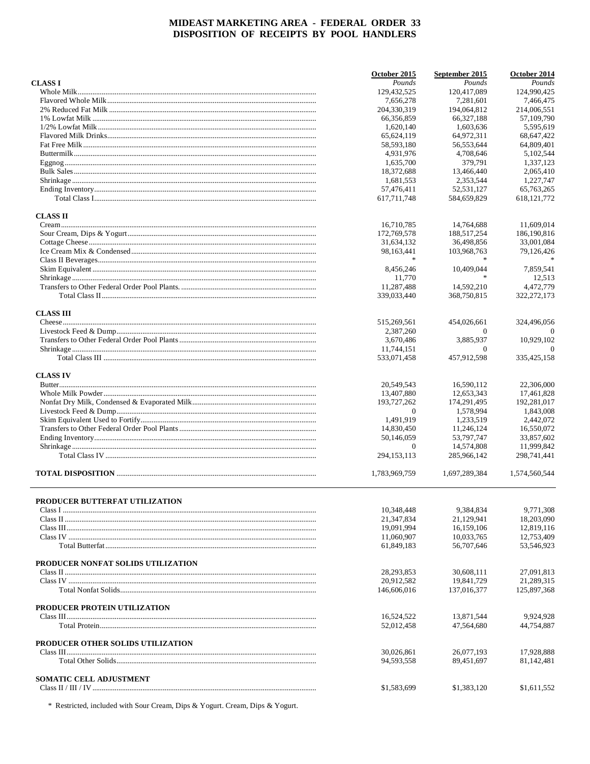|                                    | October 2015             | September 2015           | October 2014               |
|------------------------------------|--------------------------|--------------------------|----------------------------|
| <b>CLASS I</b>                     | Pounds                   | Pounds                   | Pounds                     |
|                                    | 129,432,525              | 120,417,089              | 124,990,425                |
|                                    | 7,656,278                | 7,281,601                | 7.466.475                  |
|                                    | 204,330,319              | 194,064,812              | 214,006,551                |
|                                    | 66,356,859               | 66.327.188               | 57,109,790                 |
|                                    | 1,620,140                | 1,603,636                | 5,595,619                  |
|                                    | 65,624,119               | 64,972,311               | 68,647,422                 |
|                                    | 58,593,180               | 56,553,644               | 64,809,401                 |
|                                    | 4,931,976                | 4,708,646                | 5,102,544                  |
|                                    | 1.635.700                | 379,791                  | 1,337,123                  |
|                                    | 18,372,688               | 13,466,440               | 2,065,410                  |
|                                    | 1,681,553                | 2,353,544                | 1,227,747                  |
|                                    | 57,476,411               | 52,531,127               | 65,763,265                 |
|                                    | 617,711,748              | 584,659,829              | 618, 121, 772              |
| <b>CLASS II</b>                    |                          |                          |                            |
|                                    | 16,710,785               | 14,764,688               | 11,609,014                 |
|                                    | 172,769,578              | 188,517,254              | 186,190,816                |
|                                    | 31,634,132               | 36,498,856               | 33,001,084                 |
|                                    | 98,163,441               | 103,968,763              | 79,126,426                 |
|                                    |                          |                          |                            |
|                                    | 8,456,246                | 10,409,044               | 7.859.541                  |
|                                    | 11,770                   | $\mathcal{H}$            | 12,513                     |
|                                    | 11,287,488               | 14,592,210               | 4,472,779                  |
|                                    | 339,033,440              | 368,750,815              | 322, 272, 173              |
| <b>CLASS III</b>                   |                          |                          |                            |
|                                    | 515,269,561              | 454,026,661              | 324,496,056                |
|                                    | 2,387,260                | $\Omega$                 | $\theta$                   |
|                                    | 3,670,486                | 3,885,937                | 10,929,102                 |
|                                    | 11,744,151               | $\theta$                 | $\Omega$                   |
|                                    | 533,071,458              | 457,912,598              | 335,425,158                |
| <b>CLASS IV</b>                    |                          |                          |                            |
|                                    | 20,549,543               | 16,590,112               | 22,306,000                 |
|                                    | 13,407,880               | 12,653,343               | 17,461,828                 |
|                                    | 193,727,262              | 174,291,495              | 192,281,017                |
|                                    | $\overline{0}$           | 1,578,994                | 1,843,008                  |
|                                    | 1,491,919                | 1,233,519                | 2,442,072                  |
|                                    | 14,830,450               | 11,246,124               | 16,550,072                 |
|                                    | 50,146,059               | 53,797,747               | 33,857,602                 |
|                                    | $\mathbf{0}$             | 14,574,808               | 11,999,842                 |
|                                    | 294,153,113              | 285,966,142              | 298,741,441                |
|                                    | 1,783,969,759            | 1,697,289,384            | 1,574,560,544              |
|                                    |                          |                          |                            |
|                                    |                          |                          |                            |
| PRODUCER BUTTERFAT UTILIZATION     | 10,348,448               | 9.384.834                | 9,771,308                  |
|                                    | 21, 347, 834             | 21,129,941               | 18,203,090                 |
|                                    | 19,091,994               | 16,159,106               | 12,819,116                 |
|                                    | 11,060,907               | 10,033,765               | 12,753,409                 |
|                                    | 61,849,183               | 56,707,646               | 53,546,923                 |
| PRODUCER NONFAT SOLIDS UTILIZATION |                          |                          |                            |
|                                    | 28, 293, 853             | 30,608,111               | 27,091,813                 |
|                                    | 20,912,582               | 19,841,729               | 21,289,315                 |
|                                    | 146,606,016              | 137,016,377              | 125,897,368                |
|                                    |                          |                          |                            |
| PRODUCER PROTEIN UTILIZATION       |                          |                          |                            |
|                                    | 16,524,522<br>52,012,458 | 13,871,544<br>47,564,680 | 9,924,928<br>44,754,887    |
|                                    |                          |                          |                            |
| PRODUCER OTHER SOLIDS UTILIZATION  |                          |                          |                            |
|                                    | 30,026,861<br>94,593,558 | 26,077,193<br>89,451,697 | 17,928,888<br>81, 142, 481 |
|                                    |                          |                          |                            |
| <b>SOMATIC CELL ADJUSTMENT</b>     | \$1,583,699              | \$1,383,120              | \$1,611,552                |
|                                    |                          |                          |                            |

\* Restricted, included with Sour Cream, Dips & Yogurt. Cream, Dips & Yogurt.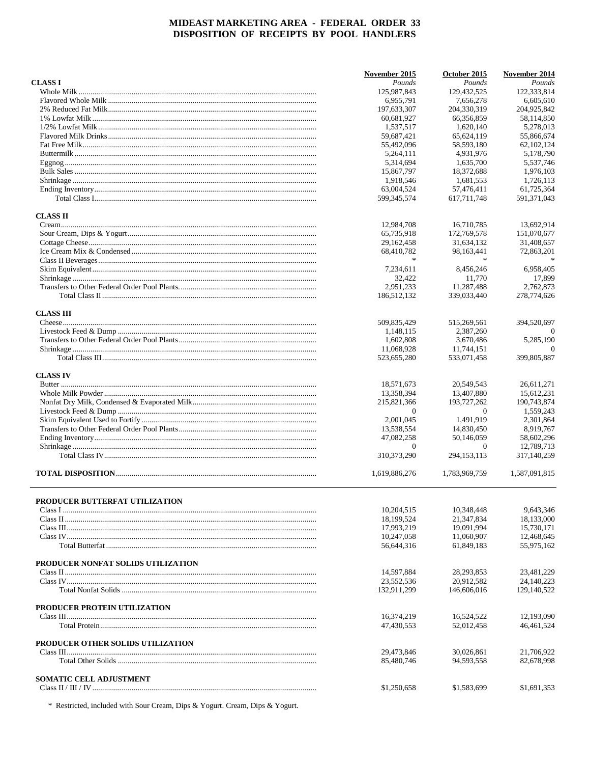|                                    | November 2015             | October 2015              | November 2014             |
|------------------------------------|---------------------------|---------------------------|---------------------------|
| <b>CLASS I</b>                     | Pounds                    | Pounds                    | Pounds                    |
|                                    | 125,987,843               | 129,432,525               | 122,333,814               |
|                                    | 6,955,791                 | 7,656,278                 | 6,605,610                 |
|                                    | 197,633,307               | 204,330,319               | 204,925,842               |
|                                    | 60,681,927                | 66,356,859                | 58,114,850                |
|                                    | 1,537,517                 | 1,620,140                 | 5,278,013                 |
|                                    | 59,687,421                | 65,624,119                | 55,866,674                |
|                                    | 55,492,096                | 58,593,180                | 62, 102, 124              |
|                                    | 5,264,111                 | 4,931,976                 | 5,178,790                 |
|                                    | 5,314,694                 | 1,635,700                 | 5,537,746                 |
|                                    | 15,867,797                | 18,372,688                | 1,976,103                 |
|                                    |                           |                           | 1,726,113                 |
|                                    | 1,918,546                 | 1,681,553                 |                           |
|                                    | 63,004,524<br>599,345,574 | 57,476,411<br>617,711,748 | 61,725,364<br>591,371,043 |
|                                    |                           |                           |                           |
| <b>CLASS II</b>                    |                           |                           |                           |
|                                    | 12,984,708                | 16,710,785                | 13,692,914                |
|                                    | 65,735,918                | 172,769,578               | 151,070,677               |
|                                    | 29, 162, 458              | 31,634,132                | 31,408,657                |
|                                    | 68,410,782                | 98,163,441                | 72,863,201                |
|                                    |                           | $\frac{1}{26}$            |                           |
|                                    | 7,234,611                 | 8,456,246                 | 6.958.405                 |
|                                    | 32,422                    | 11.770                    | 17,899                    |
|                                    | 2,951,233                 | 11,287,488                | 2,762,873                 |
|                                    | 186,512,132               | 339,033,440               | 278,774,626               |
| <b>CLASS III</b>                   |                           |                           |                           |
|                                    | 509,835,429               | 515,269,561               | 394,520,697               |
|                                    | 1.148.115                 | 2.387.260                 | $\Omega$                  |
|                                    | 1,602,808                 | 3,670,486                 | 5.285.190                 |
|                                    | 11,068,928                | 11,744,151                | $\Omega$                  |
|                                    | 523,655,280               | 533,071,458               | 399,805,887               |
|                                    |                           |                           |                           |
| <b>CLASS IV</b>                    |                           |                           |                           |
|                                    | 18,571,673                | 20,549,543                | 26,611,271                |
|                                    | 13,358,394                | 13,407,880                | 15,612,231                |
|                                    | 215,821,366               | 193,727,262               | 190,743,874               |
|                                    | $\mathbf{0}$              | $\theta$                  | 1,559,243                 |
|                                    | 2,001,045                 | 1,491,919                 | 2,301,864                 |
|                                    | 13,538,554                | 14,830,450                | 8,919,767                 |
|                                    | 47,082,258                | 50,146,059                | 58,602,296                |
|                                    | $\mathbf{0}$              | $\theta$                  | 12,789,713                |
|                                    | 310, 373, 290             | 294, 153, 113             | 317,140,259               |
|                                    | 1,619,886,276             | 1,783,969,759             | 1,587,091,815             |
|                                    |                           |                           |                           |
| PRODUCER BUTTERFAT UTILIZATION     | 10,204,515                | 10,348,448                | 9.643.346                 |
|                                    |                           |                           |                           |
|                                    | 18,199,524                | 21,347,834                | 18,133,000                |
|                                    | 17,993,219                | 19,091,994                | 15,730,171                |
|                                    | 10,247,058                | 11,060,907                | 12,468,645                |
|                                    | 56,644,316                | 61,849,183                | 55,975,162                |
| PRODUCER NONFAT SOLIDS UTILIZATION |                           |                           |                           |
|                                    | 14,597,884                | 28, 293, 853              | 23,481,229                |
|                                    | 23,552,536                | 20,912,582                | 24,140,223                |
|                                    | 132,911,299               | 146,606,016               | 129,140,522               |
|                                    |                           |                           |                           |
| PRODUCER PROTEIN UTILIZATION       |                           |                           |                           |
|                                    | 16,374,219                | 16,524,522                | 12,193,090                |
|                                    | 47,430,553                | 52,012,458                | 46,461,524                |
| PRODUCER OTHER SOLIDS UTILIZATION  |                           |                           |                           |
|                                    | 29,473,846                | 30,026,861                | 21,706,922                |
|                                    | 85,480,746                | 94,593,558                | 82,678,998                |
|                                    |                           |                           |                           |
| <b>SOMATIC CELL ADJUSTMENT</b>     |                           |                           |                           |
|                                    | \$1,250,658               | \$1,583,699               | \$1,691,353               |

\* Restricted, included with Sour Cream, Dips & Yogurt. Cream, Dips & Yogurt.